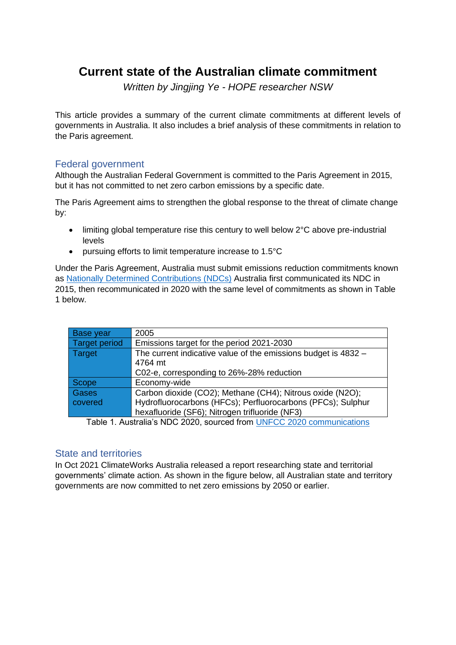## **Current state of the Australian climate commitment**

*Written by Jingjing Ye - HOPE researcher NSW*

This article provides a summary of the current climate commitments at different levels of governments in Australia. It also includes a brief analysis of these commitments in relation to the Paris agreement.

## Federal government

Although the Australian Federal Government is committed to the Paris Agreement in 2015, but it has not committed to net zero carbon emissions by a specific date.

The Paris Agreement aims to strengthen the global response to the threat of climate change by:

- limiting global temperature rise this century to well below 2°C above pre-industrial levels
- pursuing efforts to limit temperature increase to 1.5°C

Under the Paris Agreement, Australia must submit emissions reduction commitments known as [Nationally Determined Contributions \(NDCs\)](https://unfccc.int/process-and-meetings/the-paris-agreement/the-paris-agreement/nationally-determined-contributions-ndcs#eq-2) Australia [first communicated its NDC in](https://www4.unfccc.int/sites/ndcstaging/Pages/Party.aspx?party=AUS&prototype=1)  [2015,](https://www4.unfccc.int/sites/ndcstaging/Pages/Party.aspx?party=AUS&prototype=1) then recommunicated in 2020 with the same level of commitments as shown in Table 1 below.

| 2005                                                           |  |  |  |  |
|----------------------------------------------------------------|--|--|--|--|
| Emissions target for the period 2021-2030                      |  |  |  |  |
| The current indicative value of the emissions budget is 4832 - |  |  |  |  |
| 4764 mt                                                        |  |  |  |  |
| C02-e, corresponding to 26%-28% reduction                      |  |  |  |  |
| Economy-wide                                                   |  |  |  |  |
| Carbon dioxide (CO2); Methane (CH4); Nitrous oxide (N2O);      |  |  |  |  |
| Hydrofluorocarbons (HFCs); Perfluorocarbons (PFCs); Sulphur    |  |  |  |  |
| hexafluoride (SF6); Nitrogen trifluoride (NF3)                 |  |  |  |  |
|                                                                |  |  |  |  |

Table 1. Australia's NDC 2020, sourced from [UNFCC 2020 communications](https://www4.unfccc.int/sites/ndcstaging/PublishedDocuments/Australia%20First/Australia%20NDC%20recommunication%20FINAL.PDF)

## State and territories

In Oct 2021 ClimateWorks Australia released a report researching state and territorial governments' climate action. As shown in the figure below, all Australian state and territory governments are now committed to net zero emissions by 2050 or earlier.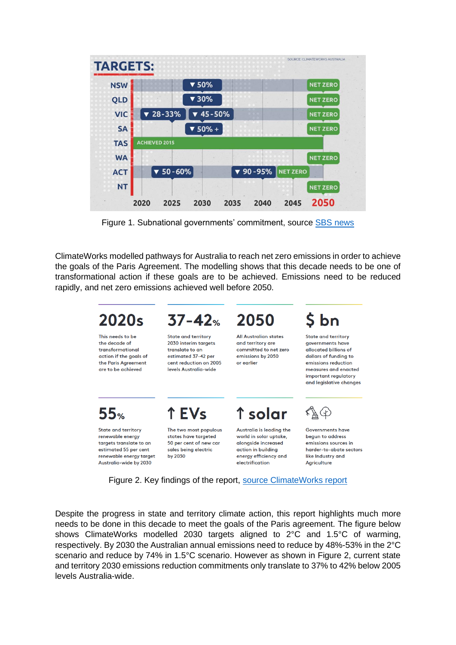| <b>NSW</b> |                                | $\blacktriangledown$ 50%       |                               |                 | <b>NET ZERO</b> |
|------------|--------------------------------|--------------------------------|-------------------------------|-----------------|-----------------|
| <b>QLD</b> |                                | $\blacktriangledown$ 30%       |                               |                 | <b>NET ZERO</b> |
| <b>VIC</b> | 28-33%<br>$\blacktriangledown$ | 45-50%<br>$\blacktriangledown$ |                               |                 | <b>NET ZERO</b> |
| <b>SA</b>  |                                | $\blacktriangledown$ 50% +     |                               |                 | <b>NET ZERO</b> |
| <b>TAS</b> | <b>ACHIEVED 2015</b>           |                                |                               |                 |                 |
| <b>WA</b>  |                                |                                |                               |                 | <b>NET ZERO</b> |
| <b>ACT</b> | $\times 50 - 60\%$             |                                | $\blacktriangledown$ 90 - 95% | <b>NET ZERO</b> |                 |
| <b>NT</b>  |                                |                                |                               |                 | <b>NET ZERO</b> |

Figure 1. Subnational governments' commitment, source [SBS news](https://www.sbs.com.au/news/the-federal-government-is-yet-to-commit-to-net-zero-by-2050-what-about-the-states/914d70c9-8731-4b98-85fc-f8413a18a546)

ClimateWorks modelled pathways for Australia to reach net zero emissions in order to achieve the goals of the Paris Agreement. The modelling shows that this decade needs to be one of transformational action if these goals are to be achieved. Emissions need to be reduced rapidly, and net zero emissions achieved well before 2050.



Figure 2. Key findings of the report, [source ClimateWorks report](https://www.climateworksaustralia.org/resource/state-and-territory-climate-action-leading-policies-and-programs-in-australia/)

Despite the progress in state and territory climate action, this report highlights much more needs to be done in this decade to meet the goals of the Paris agreement. The figure below shows ClimateWorks modelled 2030 targets aligned to 2°C and 1.5°C of warming, respectively. By 2030 the Australian annual emissions need to reduce by 48%-53% in the 2°C scenario and reduce by 74% in 1.5°C scenario. However as shown in Figure 2, current state and territory 2030 emissions reduction commitments only translate to 37% to 42% below 2005 levels Australia-wide.